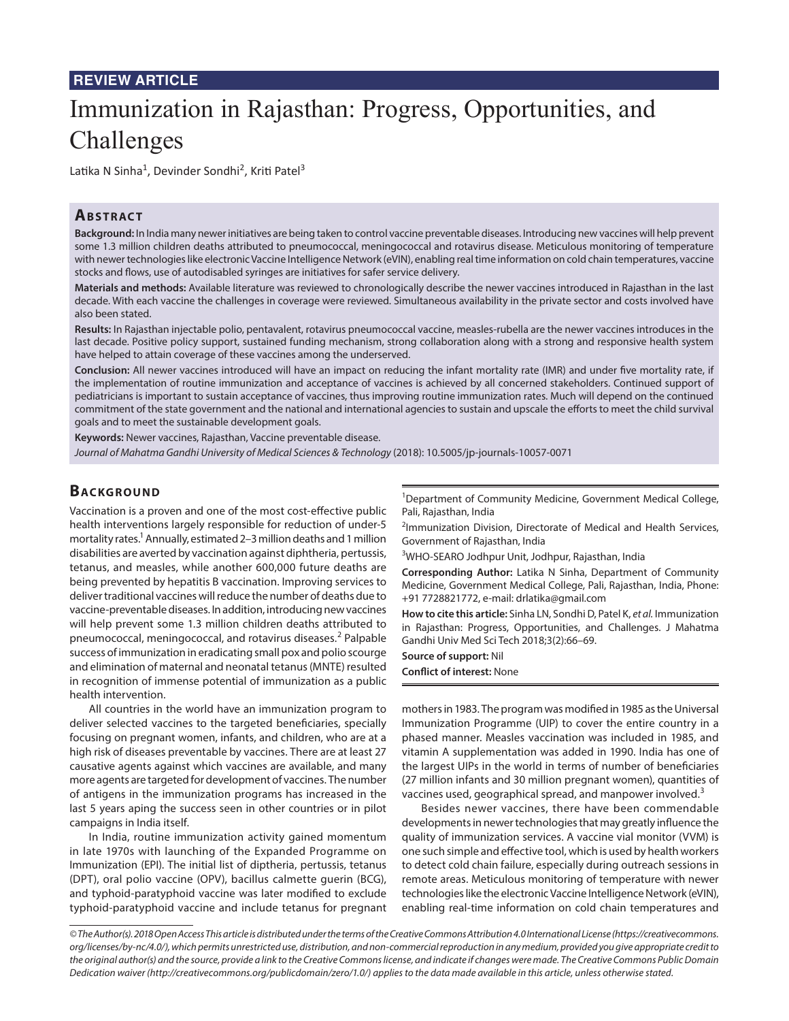# **REVIEW ARTICLE**

# Immunization in Rajasthan: Progress, Opportunities, and Challenges

Latika N Sinha<sup>1</sup>, Devinder Sondhi<sup>2</sup>, Kriti Patel<sup>3</sup>

## **ABSTRACT**

**Background:** In India many newer initiatives are being taken to control vaccine preventable diseases. Introducing new vaccines will help prevent some 1.3 million children deaths attributed to pneumococcal, meningococcal and rotavirus disease. Meticulous monitoring of temperature with newer technologies like electronic Vaccine Intelligence Network (eVIN), enabling real time information on cold chain temperatures, vaccine stocks and flows, use of autodisabled syringes are initiatives for safer service delivery.

**Materials and methods:** Available literature was reviewed to chronologically describe the newer vaccines introduced in Rajasthan in the last decade. With each vaccine the challenges in coverage were reviewed. Simultaneous availability in the private sector and costs involved have also been stated.

**Results:** In Rajasthan injectable polio, pentavalent, rotavirus pneumococcal vaccine, measles-rubella are the newer vaccines introduces in the last decade. Positive policy support, sustained funding mechanism, strong collaboration along with a strong and responsive health system have helped to attain coverage of these vaccines among the underserved.

**Conclusion:** All newer vaccines introduced will have an impact on reducing the infant mortality rate (IMR) and under five mortality rate, if the implementation of routine immunization and acceptance of vaccines is achieved by all concerned stakeholders. Continued support of pediatricians is important to sustain acceptance of vaccines, thus improving routine immunization rates. Much will depend on the continued commitment of the state government and the national and international agencies to sustain and upscale the efforts to meet the child survival goals and to meet the sustainable development goals.

**Keywords:** Newer vaccines, Rajasthan, Vaccine preventable disease.

*Journal of Mahatma Gandhi University of Medical Sciences & Technology* (2018): 10.5005/jp-journals-10057-0071

## **BACKGROUND**

Vaccination is a proven and one of the most cost-effective public health interventions largely responsible for reduction of under-5 mortality rates.<sup>1</sup> Annually, estimated 2–3 million deaths and 1 million disabilities are averted by vaccination against diphtheria, pertussis, tetanus, and measles, while another 600,000 future deaths are being prevented by hepatitis B vaccination. Improving services to deliver traditional vaccines will reduce the number of deaths due to vaccine-preventable diseases. In addition, introducing new vaccines will help prevent some 1.3 million children deaths attributed to pneumococcal, meningococcal, and rotavirus diseases.<sup>2</sup> Palpable success of immunization in eradicating small pox and polio scourge and elimination of maternal and neonatal tetanus (MNTE) resulted in recognition of immense potential of immunization as a public health intervention.

All countries in the world have an immunization program to deliver selected vaccines to the targeted beneficiaries, specially focusing on pregnant women, infants, and children, who are at a high risk of diseases preventable by vaccines. There are at least 27 causative agents against which vaccines are available, and many more agents are targeted for development of vaccines. The number of antigens in the immunization programs has increased in the last 5 years aping the success seen in other countries or in pilot campaigns in India itself.

In India, routine immunization activity gained momentum in late 1970s with launching of the Expanded Programme on Immunization (EPI). The initial list of diptheria, pertussis, tetanus (DPT), oral polio vaccine (OPV), bacillus calmette guerin (BCG), and typhoid-paratyphoid vaccine was later modified to exclude typhoid-paratyphoid vaccine and include tetanus for pregnant

<sup>1</sup>Department of Community Medicine, Government Medical College, Pali, Rajasthan, India

<sup>2</sup>Immunization Division, Directorate of Medical and Health Services, Government of Rajasthan, India

<sup>3</sup>WHO-SEARO Jodhpur Unit, Jodhpur, Rajasthan, India

**Corresponding Author:** Latika N Sinha, Department of Community Medicine, Government Medical College, Pali, Rajasthan, India, Phone: +91 7728821772, e-mail: drlatika@gmail.com

**How to cite this article:** Sinha LN, Sondhi D, Patel K, *et al.* Immunization in Rajasthan: Progress, Opportunities, and Challenges. J Mahatma Gandhi Univ Med Sci Tech 2018;3(2):66–69.

**Source of support:** Nil

**Conflict of interest:** None

mothers in 1983. The program was modified in 1985 as the Universal Immunization Programme (UIP) to cover the entire country in a phased manner. Measles vaccination was included in 1985, and vitamin A supplementation was added in 1990. India has one of the largest UIPs in the world in terms of number of beneficiaries (27 million infants and 30 million pregnant women), quantities of vaccines used, geographical spread, and manpower involved.<sup>3</sup>

Besides newer vaccines, there have been commendable developments in newer technologies that may greatly influence the quality of immunization services. A vaccine vial monitor (VVM) is one such simple and effective tool, which is used by health workers to detect cold chain failure, especially during outreach sessions in remote areas. Meticulous monitoring of temperature with newer technologies like the electronic Vaccine Intelligence Network (eVIN), enabling real-time information on cold chain temperatures and

*<sup>©</sup> The Author(s). 2018 Open Access This article is distributed under the terms of the Creative Commons Attribution 4.0 International License (https://creativecommons. org/licenses/by-nc/4.0/), which permits unrestricted use, distribution, and non-commercial reproduction in any medium, provided you give appropriate credit to the original author(s) and the source, provide a link to the Creative Commons license, and indicate if changes were made. The Creative Commons Public Domain Dedication waiver (http://creativecommons.org/publicdomain/zero/1.0/) applies to the data made available in this article, unless otherwise stated.*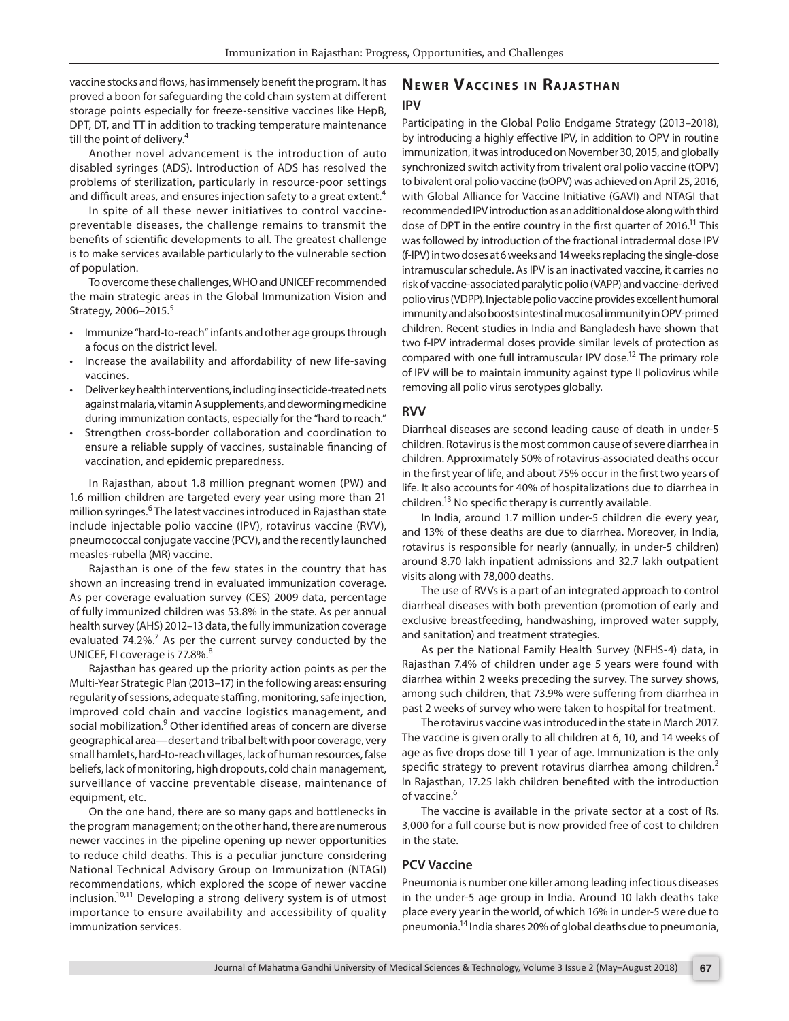vaccine stocks and flows, has immensely benefit the program. It has proved a boon for safeguarding the cold chain system at different storage points especially for freeze-sensitive vaccines like HepB, DPT, DT, and TT in addition to tracking temperature maintenance till the point of delivery.<sup>4</sup>

Another novel advancement is the introduction of auto disabled syringes (ADS). Introduction of ADS has resolved the problems of sterilization, particularly in resource-poor settings and difficult areas, and ensures injection safety to a great extent.<sup>4</sup>

In spite of all these newer initiatives to control vaccinepreventable diseases, the challenge remains to transmit the benefits of scientific developments to all. The greatest challenge is to make services available particularly to the vulnerable section of population.

To overcome these challenges, WHO and UNICEF recommended the main strategic areas in the Global Immunization Vision and Strategy, 2006-2015.<sup>5</sup>

- Immunize "hard-to-reach" infants and other age groups through a focus on the district level.
- Increase the availability and affordability of new life-saving vaccines.
- Deliver key health interventions, including insecticide-treated nets against malaria, vitamin A supplements, and deworming medicine during immunization contacts, especially for the "hard to reach."
- Strengthen cross-border collaboration and coordination to ensure a reliable supply of vaccines, sustainable financing of vaccination, and epidemic preparedness.

In Rajasthan, about 1.8 million pregnant women (PW) and 1.6 million children are targeted every year using more than 21 million syringes.<sup>6</sup> The latest vaccines introduced in Rajasthan state include injectable polio vaccine (IPV), rotavirus vaccine (RVV), pneumococcal conjugate vaccine (PCV), and the recently launched measles-rubella (MR) vaccine.

Rajasthan is one of the few states in the country that has shown an increasing trend in evaluated immunization coverage. As per coverage evaluation survey (CES) 2009 data, percentage of fully immunized children was 53.8% in the state. As per annual health survey (AHS) 2012–13 data, the fully immunization coverage evaluated 74.2%.<sup>7</sup> As per the current survey conducted by the UNICEF, FI coverage is 77.8%.<sup>8</sup>

Rajasthan has geared up the priority action points as per the Multi-Year Strategic Plan (2013–17) in the following areas: ensuring regularity of sessions, adequate staffing, monitoring, safe injection, improved cold chain and vaccine logistics management, and social mobilization.<sup>9</sup> Other identified areas of concern are diverse geographical area—desert and tribal belt with poor coverage, very small hamlets, hard-to-reach villages, lack of human resources, false beliefs, lack of monitoring, high dropouts, cold chain management, surveillance of vaccine preventable disease, maintenance of equipment, etc.

On the one hand, there are so many gaps and bottlenecks in the program management; on the other hand, there are numerous newer vaccines in the pipeline opening up newer opportunities to reduce child deaths. This is a peculiar juncture considering National Technical Advisory Group on Immunization (NTAGI) recommendations, which explored the scope of newer vaccine  $inclusion.<sup>10,11</sup>$  Developing a strong delivery system is of utmost importance to ensure availability and accessibility of quality immunization services.

# **NEWER VACCINES IN RAJASTHAN IPV**

Participating in the Global Polio Endgame Strategy (2013–2018), by introducing a highly effective IPV, in addition to OPV in routine immunization, it was introduced on November 30, 2015, and globally synchronized switch activity from trivalent oral polio vaccine (tOPV) to bivalent oral polio vaccine (bOPV) was achieved on April 25, 2016, with Global Alliance for Vaccine Initiative (GAVI) and NTAGI that recommended IPV introduction as an additional dose along with third dose of DPT in the entire country in the first quarter of 2016.<sup>11</sup> This was followed by introduction of the fractional intradermal dose IPV (f-IPV) in two doses at 6 weeks and 14 weeks replacing the single-dose intramuscular schedule. As IPV is an inactivated vaccine, it carries no risk of vaccine-associated paralytic polio (VAPP) and vaccine-derived polio virus (VDPP). Injectable polio vaccine provides excellent humoral immunity and also boosts intestinal mucosal immunity in OPV-primed children. Recent studies in India and Bangladesh have shown that two f-IPV intradermal doses provide similar levels of protection as compared with one full intramuscular IPV dose.<sup>12</sup> The primary role of IPV will be to maintain immunity against type II poliovirus while removing all polio virus serotypes globally.

#### **RVV**

Diarrheal diseases are second leading cause of death in under-5 children. Rotavirus is the most common cause of severe diarrhea in children. Approximately 50% of rotavirus-associated deaths occur in the first year of life, and about 75% occur in the first two years of life. It also accounts for 40% of hospitalizations due to diarrhea in children.<sup>13</sup> No specific therapy is currently available.

In India, around 1.7 million under-5 children die every year, and 13% of these deaths are due to diarrhea. Moreover, in India, rotavirus is responsible for nearly (annually, in under-5 children) around 8.70 lakh inpatient admissions and 32.7 lakh outpatient visits along with 78,000 deaths.

The use of RVVs is a part of an integrated approach to control diarrheal diseases with both prevention (promotion of early and exclusive breastfeeding, handwashing, improved water supply, and sanitation) and treatment strategies.

As per the National Family Health Survey (NFHS-4) data, in Rajasthan 7.4% of children under age 5 years were found with diarrhea within 2 weeks preceding the survey. The survey shows, among such children, that 73.9% were suffering from diarrhea in past 2 weeks of survey who were taken to hospital for treatment.

The rotavirus vaccine was introduced in the state in March 2017. The vaccine is given orally to all children at 6, 10, and 14 weeks of age as five drops dose till 1 year of age. Immunization is the only specific strategy to prevent rotavirus diarrhea among children. $<sup>2</sup>$ </sup> In Rajasthan, 17.25 lakh children benefited with the introduction of vaccine.<sup>6</sup>

The vaccine is available in the private sector at a cost of Rs. 3,000 for a full course but is now provided free of cost to children in the state.

#### **PCV Vaccine**

Pneumonia is number one killer among leading infectious diseases in the under-5 age group in India. Around 10 lakh deaths take place every year in the world, of which 16% in under-5 were due to pneumonia.14 India shares 20% of global deaths due to pneumonia,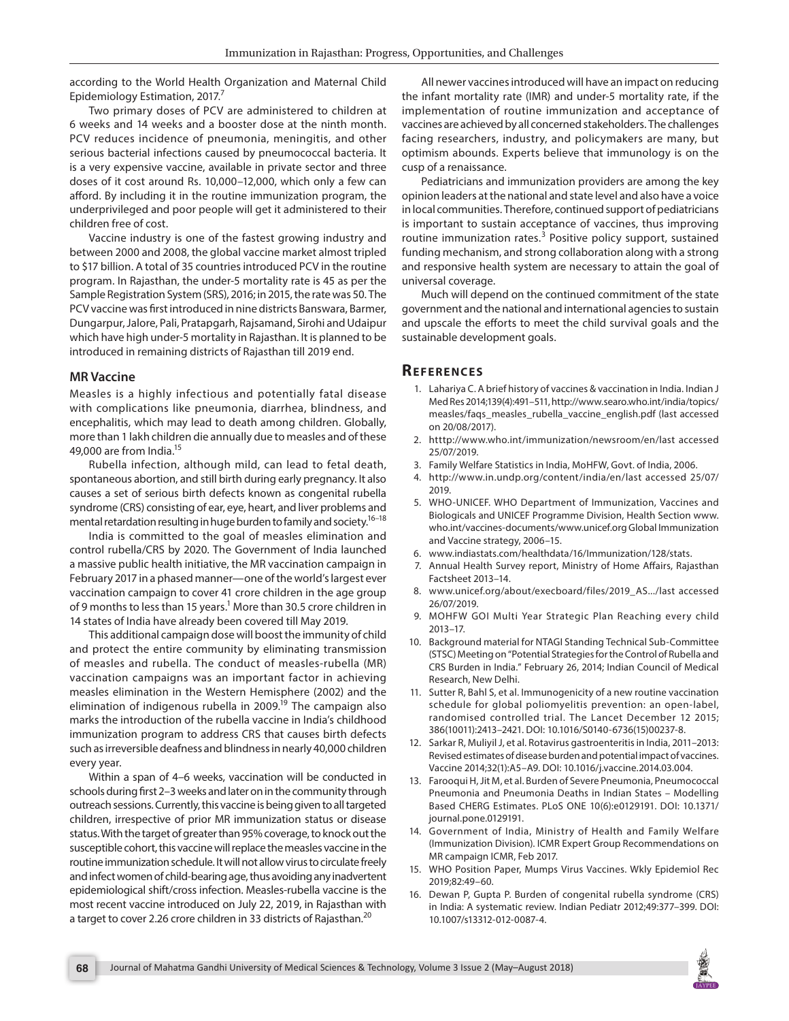according to the World Health Organization and Maternal Child Epidemiology Estimation, 2017. $^7$ 

Two primary doses of PCV are administered to children at 6 weeks and 14 weeks and a booster dose at the ninth month. PCV reduces incidence of pneumonia, meningitis, and other serious bacterial infections caused by pneumococcal bacteria. It is a very expensive vaccine, available in private sector and three doses of it cost around Rs. 10,000–12,000, which only a few can afford. By including it in the routine immunization program, the underprivileged and poor people will get it administered to their children free of cost.

Vaccine industry is one of the fastest growing industry and between 2000 and 2008, the global vaccine market almost tripled to \$17 billion. A total of 35 countries introduced PCV in the routine program. In Rajasthan, the under-5 mortality rate is 45 as per the Sample Registration System (SRS), 2016; in 2015, the rate was 50. The PCV vaccine was first introduced in nine districts Banswara, Barmer, Dungarpur, Jalore, Pali, Pratapgarh, Rajsamand, Sirohi and Udaipur which have high under-5 mortality in Rajasthan. It is planned to be introduced in remaining districts of Rajasthan till 2019 end.

### **MR Vaccine**

Measles is a highly infectious and potentially fatal disease with complications like pneumonia, diarrhea, blindness, and encephalitis, which may lead to death among children. Globally, more than 1 lakh children die annually due to measles and of these 49,000 are from India.<sup>15</sup>

Rubella infection, although mild, can lead to fetal death, spontaneous abortion, and still birth during early pregnancy. It also causes a set of serious birth defects known as congenital rubella syndrome (CRS) consisting of ear, eye, heart, and liver problems and mental retardation resulting in huge burden to family and society.<sup>16-18</sup>

India is committed to the goal of measles elimination and control rubella/CRS by 2020. The Government of India launched a massive public health initiative, the MR vaccination campaign in February 2017 in a phased manner—one of the world's largest ever vaccination campaign to cover 41 crore children in the age group of 9 months to less than 15 years.<sup>1</sup> More than 30.5 crore children in 14 states of India have already been covered till May 2019.

This additional campaign dose will boost the immunity of child and protect the entire community by eliminating transmission of measles and rubella. The conduct of measles-rubella (MR) vaccination campaigns was an important factor in achieving measles elimination in the Western Hemisphere (2002) and the elimination of indigenous rubella in 2009.<sup>19</sup> The campaign also marks the introduction of the rubella vaccine in India's childhood immunization program to address CRS that causes birth defects such as irreversible deafness and blindness in nearly 40,000 children every year.

Within a span of 4–6 weeks, vaccination will be conducted in schools during first 2–3 weeks and later on in the community through outreach sessions. Currently, this vaccine is being given to all targeted children, irrespective of prior MR immunization status or disease status. With the target of greater than 95% coverage, to knock out the susceptible cohort, this vaccine will replace the measles vaccine in the routine immunization schedule. It will not allow virus to circulate freely and infect women of child-bearing age, thus avoiding any inadvertent epidemiological shift/cross infection. Measles-rubella vaccine is the most recent vaccine introduced on July 22, 2019, in Rajasthan with a target to cover 2.26 crore children in 33 districts of Rajasthan.<sup>20</sup>

All newer vaccines introduced will have an impact on reducing the infant mortality rate (IMR) and under-5 mortality rate, if the implementation of routine immunization and acceptance of vaccines are achieved by all concerned stakeholders. The challenges facing researchers, industry, and policymakers are many, but optimism abounds. Experts believe that immunology is on the cusp of a renaissance.

Pediatricians and immunization providers are among the key opinion leaders at the national and state level and also have a voice in local communities. Therefore, continued support of pediatricians is important to sustain acceptance of vaccines, thus improving routine immunization rates.<sup>3</sup> Positive policy support, sustained funding mechanism, and strong collaboration along with a strong and responsive health system are necessary to attain the goal of universal coverage.

Much will depend on the continued commitment of the state government and the national and international agencies to sustain and upscale the efforts to meet the child survival goals and the sustainable development goals.

## **REFERENCES**

- 1. Lahariya C. A brief history of vaccines & vaccination in India. Indian J Med Res 2014;139(4):491–511, http://www.searo.who.int/india/topics/ measles/faqs\_measles\_rubella\_vaccine\_english.pdf (last accessed on 20/08/2017).
- 2. htttp://www.who.int/immunization/newsroom/en/last accessed 25/07/2019.
- 3. Family Welfare Statistics in India, MoHFW, Govt. of India, 2006.
- 4. http://www.in.undp.org/content/india/en/last accessed 25/07/ 2019.
- 5. WHO-UNICEF. WHO Department of Immunization, Vaccines and Biologicals and UNICEF Programme Division, Health Section www. who.int/vaccines-documents/www.unicef.org Global Immunization and Vaccine strategy, 2006–15.
- 6. www.indiastats.com/healthdata/16/Immunization/128/stats.
- 7. Annual Health Survey report, Ministry of Home Affairs, Rajasthan Factsheet 2013–14.
- 8. www.unicef.org/about/execboard/files/2019\_AS.../last accessed 26/07/2019.
- 9. MOHFW GOI Multi Year Strategic Plan Reaching every child 2013–17.
- 10. Background material for NTAGI Standing Technical Sub-Committee (STSC) Meeting on "Potential Strategies for the Control of Rubella and CRS Burden in India." February 26, 2014; Indian Council of Medical Research, New Delhi.
- 11. Sutter R, Bahl S, et al. Immunogenicity of a new routine vaccination schedule for global poliomyelitis prevention: an open-label, randomised controlled trial. The Lancet December 12 2015; 386(10011):2413–2421. DOI: 10.1016/S0140-6736(15)00237-8.
- 12. Sarkar R, Muliyil J, et al. Rotavirus gastroenteritis in India, 2011–2013: Revised estimates of disease burden and potential impact of vaccines. Vaccine 2014;32(1):A5–A9. DOI: 10.1016/j.vaccine.2014.03.004.
- 13. Farooqui H, Jit M, et al. Burden of Severe Pneumonia, Pneumococcal Pneumonia and Pneumonia Deaths in Indian States – Modelling Based CHERG Estimates. PLoS ONE 10(6):e0129191. DOI: 10.1371/ journal.pone.0129191.
- 14. Government of India, Ministry of Health and Family Welfare (Immunization Division). ICMR Expert Group Recommendations on MR campaign ICMR, Feb 2017.
- 15. WHO Position Paper, Mumps Virus Vaccines. Wkly Epidemiol Rec 2019;82:49–60.
- 16. Dewan P, Gupta P. Burden of congenital rubella syndrome (CRS) in India: A systematic review. Indian Pediatr 2012;49:377–399. DOI: 10.1007/s13312-012-0087-4.